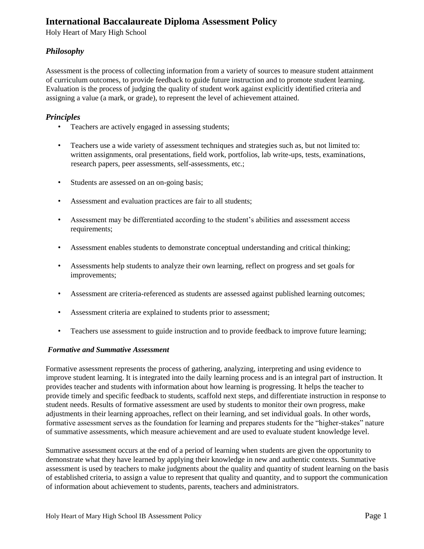# **International Baccalaureate Diploma Assessment Policy**

Holy Heart of Mary High School

# *Philosophy*

Assessment is the process of collecting information from a variety of sources to measure student attainment of curriculum outcomes, to provide feedback to guide future instruction and to promote student learning. Evaluation is the process of judging the quality of student work against explicitly identified criteria and assigning a value (a mark, or grade), to represent the level of achievement attained.

# *Principles*

- Teachers are actively engaged in assessing students;
- Teachers use a wide variety of assessment techniques and strategies such as, but not limited to: written assignments, oral presentations, field work, portfolios, lab write-ups, tests, examinations, research papers, peer assessments, self-assessments, etc.;
- Students are assessed on an on-going basis;
- Assessment and evaluation practices are fair to all students;
- Assessment may be differentiated according to the student's abilities and assessment access requirements;
- Assessment enables students to demonstrate conceptual understanding and critical thinking;
- Assessments help students to analyze their own learning, reflect on progress and set goals for improvements;
- Assessment are criteria-referenced as students are assessed against published learning outcomes;
- Assessment criteria are explained to students prior to assessment;
- Teachers use assessment to guide instruction and to provide feedback to improve future learning;

### *Formative and Summative Assessment*

Formative assessment represents the process of gathering, analyzing, interpreting and using evidence to improve student learning. It is integrated into the daily learning process and is an integral part of instruction. It provides teacher and students with information about how learning is progressing. It helps the teacher to provide timely and specific feedback to students, scaffold next steps, and differentiate instruction in response to student needs. Results of formative assessment are used by students to monitor their own progress, make adjustments in their learning approaches, reflect on their learning, and set individual goals. In other words, formative assessment serves as the foundation for learning and prepares students for the "higher-stakes" nature of summative assessments, which measure achievement and are used to evaluate student knowledge level.

Summative assessment occurs at the end of a period of learning when students are given the opportunity to demonstrate what they have learned by applying their knowledge in new and authentic contexts. Summative assessment is used by teachers to make judgments about the quality and quantity of student learning on the basis of established criteria, to assign a value to represent that quality and quantity, and to support the communication of information about achievement to students, parents, teachers and administrators.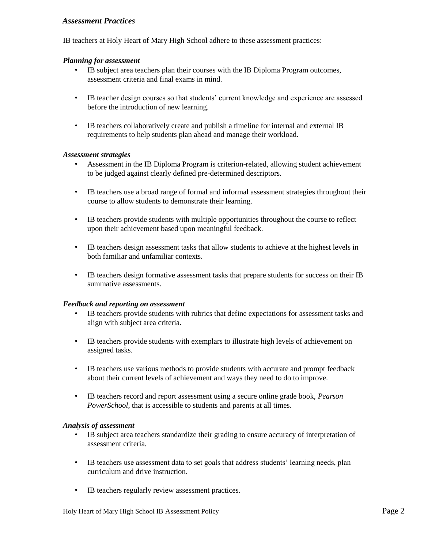## *Assessment Practices*

IB teachers at Holy Heart of Mary High School adhere to these assessment practices:

#### *Planning for assessment*

- IB subject area teachers plan their courses with the IB Diploma Program outcomes, assessment criteria and final exams in mind.
- IB teacher design courses so that students' current knowledge and experience are assessed before the introduction of new learning.
- IB teachers collaboratively create and publish a timeline for internal and external IB requirements to help students plan ahead and manage their workload.

#### *Assessment strategies*

- Assessment in the IB Diploma Program is criterion-related, allowing student achievement to be judged against clearly defined pre-determined descriptors.
- IB teachers use a broad range of formal and informal assessment strategies throughout their course to allow students to demonstrate their learning.
- IB teachers provide students with multiple opportunities throughout the course to reflect upon their achievement based upon meaningful feedback.
- IB teachers design assessment tasks that allow students to achieve at the highest levels in both familiar and unfamiliar contexts.
- IB teachers design formative assessment tasks that prepare students for success on their IB summative assessments.

#### *Feedback and reporting on assessment*

- IB teachers provide students with rubrics that define expectations for assessment tasks and align with subject area criteria.
- IB teachers provide students with exemplars to illustrate high levels of achievement on assigned tasks.
- IB teachers use various methods to provide students with accurate and prompt feedback about their current levels of achievement and ways they need to do to improve.
- IB teachers record and report assessment using a secure online grade book, *Pearson PowerSchool*, that is accessible to students and parents at all times.

### *Analysis of assessment*

- IB subject area teachers standardize their grading to ensure accuracy of interpretation of assessment criteria.
- IB teachers use assessment data to set goals that address students' learning needs, plan curriculum and drive instruction.
- IB teachers regularly review assessment practices.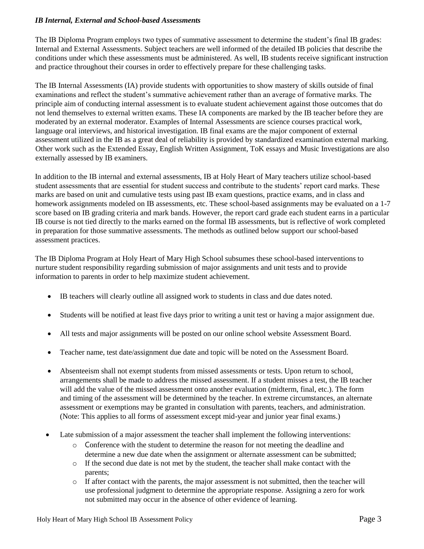### *IB Internal, External and School-based Assessments*

The IB Diploma Program employs two types of summative assessment to determine the student's final IB grades: Internal and External Assessments. Subject teachers are well informed of the detailed IB policies that describe the conditions under which these assessments must be administered. As well, IB students receive significant instruction and practice throughout their courses in order to effectively prepare for these challenging tasks.

The IB Internal Assessments (IA) provide students with opportunities to show mastery of skills outside of final examinations and reflect the student's summative achievement rather than an average of formative marks. The principle aim of conducting internal assessment is to evaluate student achievement against those outcomes that do not lend themselves to external written exams. These IA components are marked by the IB teacher before they are moderated by an external moderator. Examples of Internal Assessments are science courses practical work, language oral interviews, and historical investigation. IB final exams are the major component of external assessment utilized in the IB as a great deal of reliability is provided by standardized examination external marking. Other work such as the Extended Essay, English Written Assignment, ToK essays and Music Investigations are also externally assessed by IB examiners.

In addition to the IB internal and external assessments, IB at Holy Heart of Mary teachers utilize school-based student assessments that are essential for student success and contribute to the students' report card marks. These marks are based on unit and cumulative tests using past IB exam questions, practice exams, and in class and homework assignments modeled on IB assessments, etc. These school-based assignments may be evaluated on a 1-7 score based on IB grading criteria and mark bands. However, the report card grade each student earns in a particular IB course is not tied directly to the marks earned on the formal IB assessments, but is reflective of work completed in preparation for those summative assessments. The methods as outlined below support our school-based assessment practices.

The IB Diploma Program at Holy Heart of Mary High School subsumes these school-based interventions to nurture student responsibility regarding submission of major assignments and unit tests and to provide information to parents in order to help maximize student achievement.

- IB teachers will clearly outline all assigned work to students in class and due dates noted.
- Students will be notified at least five days prior to writing a unit test or having a major assignment due.
- All tests and major assignments will be posted on our online school website Assessment Board.
- Teacher name, test date/assignment due date and topic will be noted on the Assessment Board.
- Absenteeism shall not exempt students from missed assessments or tests. Upon return to school, arrangements shall be made to address the missed assessment. If a student misses a test, the IB teacher will add the value of the missed assessment onto another evaluation (midterm, final, etc.). The form and timing of the assessment will be determined by the teacher. In extreme circumstances, an alternate assessment or exemptions may be granted in consultation with parents, teachers, and administration. (Note: This applies to all forms of assessment except mid-year and junior year final exams.)
- Late submission of a major assessment the teacher shall implement the following interventions:
	- o Conference with the student to determine the reason for not meeting the deadline and determine a new due date when the assignment or alternate assessment can be submitted;
	- o If the second due date is not met by the student, the teacher shall make contact with the parents;
	- o If after contact with the parents, the major assessment is not submitted, then the teacher will use professional judgment to determine the appropriate response. Assigning a zero for work not submitted may occur in the absence of other evidence of learning.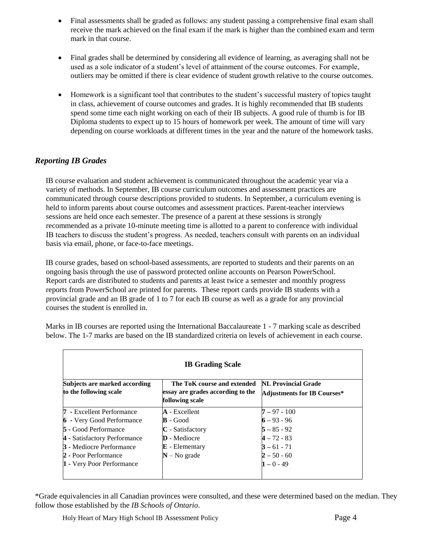- Final assessments shall be graded as follows: any student passing a comprehensive final exam shall receive the mark achieved on the final exam if the mark is higher than the combined exam and term mark in that course.
- Final grades shall be determined by considering all evidence of learning, as averaging shall not be used as a sole indicator of a student's level of attainment of the course outcomes. For example, outliers may be omitted if there is clear evidence of student growth relative to the course outcomes.
- Homework is a significant tool that contributes to the student's successful mastery of topics taught in class, achievement of course outcomes and grades. It is highly recommended that IB students spend some time each night working on each of their IB subjects. A good rule of thumb is for IB Diploma students to expect up to 15 hours of homework per week. The amount of time will vary depending on course workloads at different times in the year and the nature of the homework tasks.

# *Reporting IB Grades*

IB course evaluation and student achievement is communicated throughout the academic year via a variety of methods. In September, IB course curriculum outcomes and assessment practices are communicated through course descriptions provided to students. In September, a curriculum evening is held to inform parents about course outcomes and assessment practices. Parent-teacher interviews sessions are held once each semester. The presence of a parent at these sessions is strongly recommended as a private 10-minute meeting time is allotted to a parent to conference with individual IB teachers to discuss the student's progress. As needed, teachers consult with parents on an individual basis via email, phone, or face-to-face meetings.

IB course grades, based on school-based assessments, are reported to students and their parents on an ongoing basis through the use of password protected online accounts on Pearson PowerSchool. Report cards are distributed to students and parents at least twice a semester and monthly progress reports from PowerSchool are printed for parents. These report cards provide IB students with a provincial grade and an IB grade of 1 to 7 for each IB course as well as a grade for any provincial courses the student is enrolled in.

| <b>IB Grading Scale</b>                                 |                                                                                     |                                                                  |  |  |  |  |  |  |
|---------------------------------------------------------|-------------------------------------------------------------------------------------|------------------------------------------------------------------|--|--|--|--|--|--|
| Subjects are marked according<br>to the following scale | The ToK course and extended<br>essay are grades according to the<br>following scale | <b>NL Provincial Grade</b><br><b>Adjustments for IB Courses*</b> |  |  |  |  |  |  |
| 7 - Excellent Performance                               | $\bf{A}$ - Excellent                                                                | $7 - 97 - 100$                                                   |  |  |  |  |  |  |
| <b>6</b> - Very Good Performance                        | $\mathbf{B}$ - Good                                                                 | $6 - 93 - 96$                                                    |  |  |  |  |  |  |
| <b>5</b> - Good Performance                             | $C$ - Satisfactory                                                                  | $5 - 85 - 92$                                                    |  |  |  |  |  |  |
| 4 - Satisfactory Performance                            | <b>D</b> - Mediocre                                                                 | $4 - 72 - 83$                                                    |  |  |  |  |  |  |
| <b>3</b> - Mediocre Performance                         | $E$ - Elementary                                                                    | $3 - 61 - 71$                                                    |  |  |  |  |  |  |
| 2 - Poor Performance                                    | $N - No$ grade                                                                      | $2 - 50 - 60$                                                    |  |  |  |  |  |  |
| 1 - Very Poor Performance                               |                                                                                     | $1 - 0 - 49$                                                     |  |  |  |  |  |  |

Marks in IB courses are reported using the International Baccalaureate 1 - 7 marking scale as described below. The 1-7 marks are based on the IB standardized criteria on levels of achievement in each course.

\*Grade equivalencies in all Canadian provinces were consulted, and these were determined based on the median. They follow those established by the *IB Schools of Ontario*.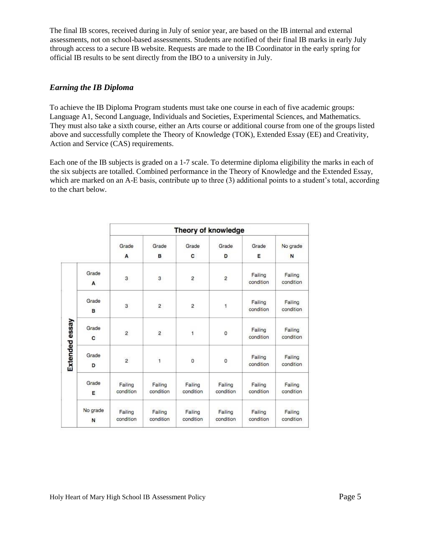The final IB scores, received during in July of senior year, are based on the IB internal and external assessments, not on school-based assessments. Students are notified of their final IB marks in early July through access to a secure IB website. Requests are made to the IB Coordinator in the early spring for official IB results to be sent directly from the IBO to a university in July.

### *Earning the IB Diploma*

To achieve the IB Diploma Program students must take one course in each of five academic groups: Language A1, Second Language, Individuals and Societies, Experimental Sciences, and Mathematics. They must also take a sixth course, either an Arts course or additional course from one of the groups listed above and successfully complete the Theory of Knowledge (TOK), Extended Essay (EE) and Creativity, Action and Service (CAS) requirements.

Each one of the IB subjects is graded on a 1-7 scale. To determine diploma eligibility the marks in each of the six subjects are totalled. Combined performance in the Theory of Knowledge and the Extended Essay, which are marked on an A-E basis, contribute up to three (3) additional points to a student's total, according to the chart below.

|                |               | Theory of knowledge  |                      |                      |                      |                      |                      |  |
|----------------|---------------|----------------------|----------------------|----------------------|----------------------|----------------------|----------------------|--|
|                |               | Grade<br>A           | Grade<br>в           | Grade<br>c           | Grade<br>D           | Grade<br>Ε           | No grade<br>N        |  |
| Extended essay | Grade<br>A    | 3                    | 3                    | $\overline{2}$       | $\overline{c}$       | Failing<br>condition | Failing<br>condition |  |
|                | Grade<br>в    | 3                    | $\overline{2}$       | $\overline{2}$       | 1                    | Failing<br>condition | Failing<br>condition |  |
|                | Grade<br>C    | $\overline{2}$       | $\overline{2}$       | $\mathbf{1}$         | $\mathbf 0$          | Failing<br>condition | Failing<br>condition |  |
|                | Grade<br>D    | $\overline{2}$       | $\mathbf{1}$         | $\mathbf{o}$         | $\mathbf 0$          | Failing<br>condition | Failing<br>condition |  |
|                | Grade<br>E    | Failing<br>condition | Failing<br>condition | Failing<br>condition | Failing<br>condition | Failing<br>condition | Failing<br>condition |  |
|                | No grade<br>N | Failing<br>condition | Failing<br>condition | Failing<br>condition | Failing<br>condition | Failing<br>condition | Failing<br>condition |  |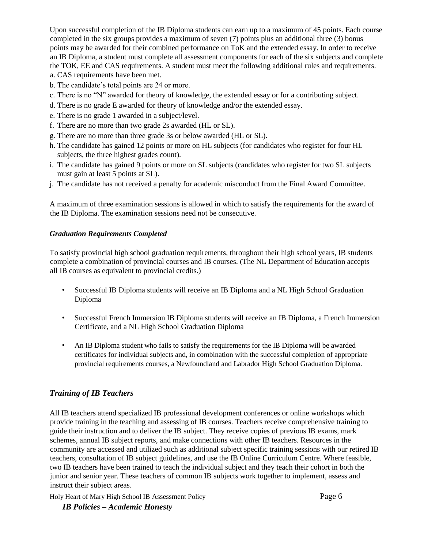Upon successful completion of the IB Diploma students can earn up to a maximum of 45 points. Each course completed in the six groups provides a maximum of seven (7) points plus an additional three (3) bonus points may be awarded for their combined performance on ToK and the extended essay. In order to receive an IB Diploma, a student must complete all assessment components for each of the six subjects and complete the TOK, EE and CAS requirements. A student must meet the following additional rules and requirements. a. CAS requirements have been met.

- b. The candidate's total points are 24 or more.
- c. There is no "N" awarded for theory of knowledge, the extended essay or for a contributing subject.
- d. There is no grade E awarded for theory of knowledge and/or the extended essay.
- e. There is no grade 1 awarded in a subject/level.
- f. There are no more than two grade 2s awarded (HL or SL).
- g. There are no more than three grade 3s or below awarded (HL or SL).
- h. The candidate has gained 12 points or more on HL subjects (for candidates who register for four HL subjects, the three highest grades count).
- i. The candidate has gained 9 points or more on SL subjects (candidates who register for two SL subjects must gain at least 5 points at SL).
- j. The candidate has not received a penalty for academic misconduct from the Final Award Committee.

A maximum of three examination sessions is allowed in which to satisfy the requirements for the award of the IB Diploma. The examination sessions need not be consecutive.

#### *Graduation Requirements Completed*

To satisfy provincial high school graduation requirements, throughout their high school years, IB students complete a combination of provincial courses and IB courses. (The NL Department of Education accepts all IB courses as equivalent to provincial credits.)

- Successful IB Diploma students will receive an IB Diploma and a NL High School Graduation Diploma
- Successful French Immersion IB Diploma students will receive an IB Diploma, a French Immersion Certificate, and a NL High School Graduation Diploma
- An IB Diploma student who fails to satisfy the requirements for the IB Diploma will be awarded certificates for individual subjects and, in combination with the successful completion of appropriate provincial requirements courses, a Newfoundland and Labrador High School Graduation Diploma.

# *Training of IB Teachers*

All IB teachers attend specialized IB professional development conferences or online workshops which provide training in the teaching and assessing of IB courses. Teachers receive comprehensive training to guide their instruction and to deliver the IB subject. They receive copies of previous IB exams, mark schemes, annual IB subject reports, and make connections with other IB teachers. Resources in the community are accessed and utilized such as additional subject specific training sessions with our retired IB teachers, consultation of IB subject guidelines, and use the IB Online Curriculum Centre. Where feasible, two IB teachers have been trained to teach the individual subject and they teach their cohort in both the junior and senior year. These teachers of common IB subjects work together to implement, assess and instruct their subject areas.

Holy Heart of Mary High School IB Assessment Policy Page 6

*IB Policies – Academic Honesty*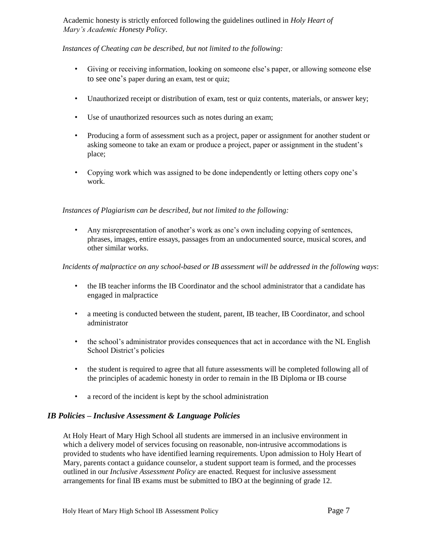Academic honesty is strictly enforced following the guidelines outlined in *Holy Heart of Mary's Academic Honesty Policy*.

### *Instances of Cheating can be described, but not limited to the following:*

- Giving or receiving information, looking on someone else's paper, or allowing someone else to see one's paper during an exam, test or quiz;
- Unauthorized receipt or distribution of exam, test or quiz contents, materials, or answer key;
- Use of unauthorized resources such as notes during an exam;
- Producing a form of assessment such as a project, paper or assignment for another student or asking someone to take an exam or produce a project, paper or assignment in the student's place;
- Copying work which was assigned to be done independently or letting others copy one's work.

### *Instances of Plagiarism can be described, but not limited to the following:*

• Any misrepresentation of another's work as one's own including copying of sentences, phrases, images, entire essays, passages from an undocumented source, musical scores, and other similar works.

### *Incidents of malpractice on any school-based or IB assessment will be addressed in the following ways*:

- the IB teacher informs the IB Coordinator and the school administrator that a candidate has engaged in malpractice
- a meeting is conducted between the student, parent, IB teacher, IB Coordinator, and school administrator
- the school's administrator provides consequences that act in accordance with the NL English School District's policies
- the student is required to agree that all future assessments will be completed following all of the principles of academic honesty in order to remain in the IB Diploma or IB course
- a record of the incident is kept by the school administration

### *IB Policies – Inclusive Assessment & Language Policies*

At Holy Heart of Mary High School all students are immersed in an inclusive environment in which a delivery model of services focusing on reasonable, non-intrusive accommodations is provided to students who have identified learning requirements. Upon admission to Holy Heart of Mary, parents contact a guidance counselor, a student support team is formed, and the processes outlined in our *Inclusive Assessment Policy* are enacted. Request for inclusive assessment arrangements for final IB exams must be submitted to IBO at the beginning of grade 12.